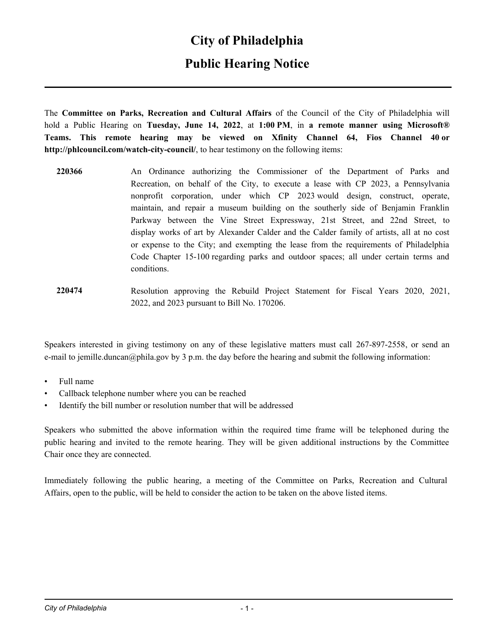## **City of Philadelphia**

## **Public Hearing Notice**

The **Committee on Parks, Recreation and Cultural Affairs** of the Council of the City of Philadelphia will hold a Public Hearing on **Tuesday, June 14, 2022**, at **1:00 PM**, in **a remote manner using Microsoft® Teams. This remote hearing may be viewed on Xfinity Channel 64, Fios Channel 40 or http://phlcouncil.com/watch-city-council/**, to hear testimony on the following items:

**220366** An Ordinance authorizing the Commissioner of the Department of Parks and Recreation, on behalf of the City, to execute a lease with CP 2023, a Pennsylvania nonprofit corporation, under which CP 2023 would design, construct, operate, maintain, and repair a museum building on the southerly side of Benjamin Franklin Parkway between the Vine Street Expressway, 21st Street, and 22nd Street, to display works of art by Alexander Calder and the Calder family of artists, all at no cost or expense to the City; and exempting the lease from the requirements of Philadelphia Code Chapter 15-100 regarding parks and outdoor spaces; all under certain terms and conditions.

**220474** Resolution approving the Rebuild Project Statement for Fiscal Years 2020, 2021, 2022, and 2023 pursuant to Bill No. 170206.

Speakers interested in giving testimony on any of these legislative matters must call 267-897-2558, or send an e-mail to jemille.duncan@phila.gov by 3 p.m. the day before the hearing and submit the following information:

- Full name
- Callback telephone number where you can be reached
- Identify the bill number or resolution number that will be addressed

Speakers who submitted the above information within the required time frame will be telephoned during the public hearing and invited to the remote hearing. They will be given additional instructions by the Committee Chair once they are connected.

Immediately following the public hearing, a meeting of the Committee on Parks, Recreation and Cultural Affairs, open to the public, will be held to consider the action to be taken on the above listed items.